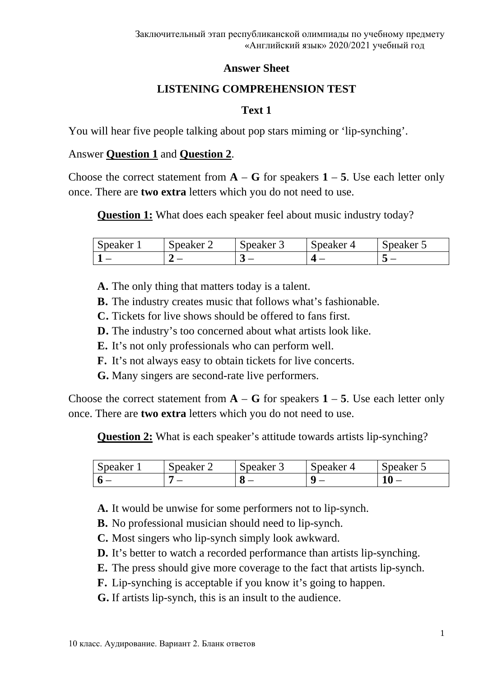#### **Answer Sheet**

# **LISTENING COMPREHENSION TEST**

### **Text 1**

You will hear five people talking about pop stars miming or 'lip-synching'.

### Answer **Question 1** and **Question 2**.

Choose the correct statement from  $\bf{A}$  –  $\bf{G}$  for speakers  $\bf{1}$  – 5. Use each letter only once. There are **two extra** letters which you do not need to use.

**Question 1:** What does each speaker feel about music industry today?

| Speaker | reaker $\angle$<br>ັ | Speaker 3 | Speaker<br>∸ | Neaker J |
|---------|----------------------|-----------|--------------|----------|
|         |                      | ີ         |              |          |

**A.** The only thing that matters today is a talent.

**B.** The industry creates music that follows what's fashionable.

- **C.** Tickets for live shows should be offered to fans first.
- **D.** The industry's too concerned about what artists look like.
- **E.** It's not only professionals who can perform well.
- **F.** It's not always easy to obtain tickets for live concerts.
- **G.** Many singers are second-rate live performers.

Choose the correct statement from  $A - G$  for speakers  $1 - 5$ . Use each letter only once. There are **two extra** letters which you do not need to use.

**Question 2:** What is each speaker's attitude towards artists lip-synching?

| Speaker.<br>ັ | Speaker 2 | peaker | Speaker | Speaker 5 |
|---------------|-----------|--------|---------|-----------|
|               |           |        |         |           |

**A.** It would be unwise for some performers not to lip-synch.

**B.** No professional musician should need to lip-synch.

- **C.** Most singers who lip-synch simply look awkward.
- **D.** It's better to watch a recorded performance than artists lip-synching.
- **E.** The press should give more coverage to the fact that artists lip-synch.
- **F.** Lip-synching is acceptable if you know it's going to happen.
- **G.** If artists lip-synch, this is an insult to the audience.